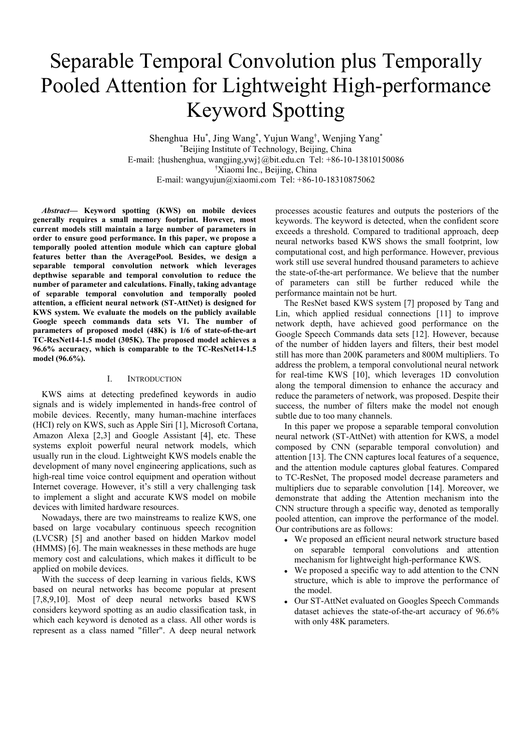# Separable Temporal Convolution plus Temporally Pooled Attention for Lightweight High-performance Keyword Spotting

Shenghua Hu\* , Jing Wang\* , Yujun Wang† , Wenjing Yang\* \*Beijing Institute of Technology, Beijing, China E-mail: {hushenghua, wangjing,ywj}@bit.edu.cn Tel: +86-10-13810150086 †Xiaomi Inc., Beijing, China E-mail: wangyujun@xiaomi.com Tel: +86-10-18310875062

*Abstract***— Keyword spotting (KWS) on mobile devices generally requires a small memory footprint. However, most current models still maintain a large number of parameters in order to ensure good performance. In this paper, we propose a temporally pooled attention module which can capture global features better than the AveragePool. Besides, we design a separable temporal convolution network which leverages depthwise separable and temporal convolution to reduce the number of parameter and calculations. Finally, taking advantage of separable temporal convolution and temporally pooled attention, a efficient neural network (ST-AttNet) is designed for KWS system. We evaluate the models on the publicly available Google speech commands data sets V1. The number of parameters of proposed model (48K) is 1/6 of state-of-the-art TC-ResNet14-1.5 model (305K). The proposed model achieves a 96.6% accuracy, which is comparable to the TC-ResNet14-1.5 model (96.6%).**

# I. INTRODUCTION

KWS aims at detecting predefined keywords in audio signals and is widely implemented in hands-free control of mobile devices. Recently, many human-machine interfaces (HCI) rely on KWS, such as Apple Siri [1], Microsoft Cortana, Amazon Alexa [2,3] and Google Assistant [4], etc. These systems exploit powerful neural network models, which usually run in the cloud. Lightweight KWS models enable the development of many novel engineering applications, such as high-real time voice control equipment and operation without Internet coverage. However, it's still a very challenging task to implement a slight and accurate KWS model on mobile devices with limited hardware resources.

Nowadays, there are two mainstreams to realize KWS, one based on large vocabulary continuous speech recognition (LVCSR) [5] and another based on hidden Markov model (HMMS) [6]. The main weaknesses in these methods are huge memory cost and calculations, which makes it difficult to be applied on mobile devices.

With the success of deep learning in various fields, KWS based on neural networks has become popular at present [7,8,9,10]. Most of deep neural networks based KWS considers keyword spotting as an audio classification task, in which each keyword is denoted as a class. All other words is represent as a class named "filler". A deep neural network processes acoustic features and outputs the posteriors of the keywords. The keyword is detected, when the confident score exceeds a threshold. Compared to traditional approach, deep neural networks based KWS shows the small footprint, low computational cost, and high performance. However, previous work still use several hundred thousand parameters to achieve the state-of-the-art performance. We believe that the number of parameters can still be further reduced while the performance maintain not be hurt.

The ResNet based KWS system [7] proposed by Tang and Lin, which applied residual connections [11] to improve network depth, have achieved good performance on the Google Speech Commands data sets [12]. However, because of the number of hidden layers and filters, their best model still has more than 200K parameters and 800M multipliers. To address the problem, a temporal convolutional neural network for real-time KWS [10], which leverages 1D convolution along the temporal dimension to enhance the accuracy and reduce the parameters of network, was proposed. Despite their success, the number of filters make the model not enough subtle due to too many channels.

In this paper we propose a separable temporal convolution neural network (ST-AttNet) with attention for KWS, a model composed by CNN (separable temporal convolution) and attention [13]. The CNN captures local features of a sequence, and the attention module captures global features. Compared to TC-ResNet, The proposed model decrease parameters and multipliers due to separable convolution [14]. Moreover, we demonstrate that adding the Attention mechanism into the CNN structure through a specific way, denoted as temporally pooled attention, can improve the performance of the model. Our contributions are as follows:

- We proposed an efficient neural network structure based on separable temporal convolutions and attention mechanism for lightweight high-performance KWS.
- We proposed a specific way to add attention to the CNN structure, which is able to improve the performance of the model.
- Our ST-AttNet evaluated on Googles Speech Commands dataset achieves the state-of-the-art accuracy of 96.6% with only 48K parameters.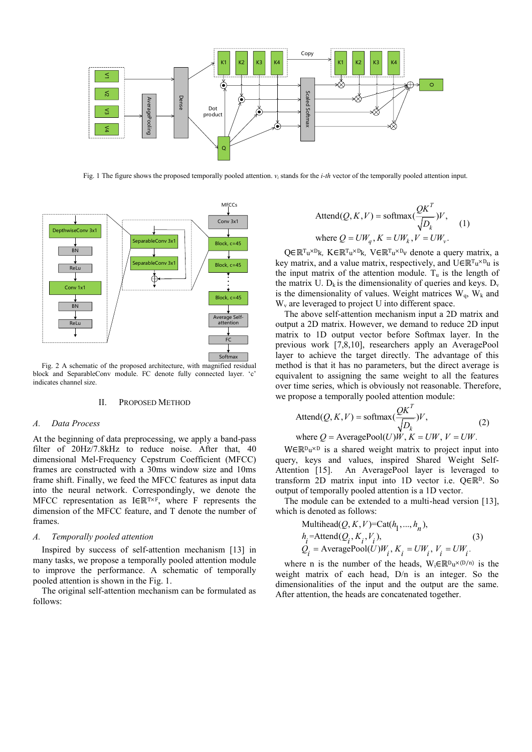

Fig. 1 The figure shows the proposed temporally pooled attention. *v<sup>i</sup>* stands for the *i-th* vector of the temporally pooled attention input.



Fig. 2 A schematic of the proposed architecture, with magnified residual block and SeparableConv module. FC denote fully connected layer. 'c' indicates channel size.

#### II. PROPOSED METHOD

# *A. Data Process*

At the beginning of data preprocessing, we apply a band-pass filter of 20Hz/7.8kHz to reduce noise. After that, 40 dimensional Mel-Frequency Cepstrum Coefficient (MFCC) frames are constructed with a 30ms window size and 10ms frame shift. Finally, we feed the MFCC features as input data into the neural network. Correspondingly, we denote the MFCC representation as I∈ℝT×F, where F represents the dimension of the MFCC feature, and T denote the number of frames.

## *A. Temporally pooled attention*

Inspired by success of self-attention mechanism [13] in many tasks, we propose a temporally pooled attention module to improve the performance. A schematic of temporally pooled attention is shown in the Fig. 1.

The original self-attention mechanism can be formulated as follows:

$$
\text{Attend}(Q, K, V) = \text{softmax}(\frac{QK^T}{\sqrt{D_k}})V, \quad (1)
$$
\n
$$
\text{where } Q = UW_q, K = UW_k, V = UW_v.
$$

Q∈ℝ<sup>T</sup>u<sup>×D</sup>k, K∈ℝ<sup>T</sup>u<sup>×D</sup>k, V∈ℝ<sup>T</sup>u<sup>×D</sup>v denote a query matrix, a key matrix, and a value matrix, respectively, and  $U \in \mathbb{R}^{T_u \times D_u}$  is the input matrix of the attention module.  $T_u$  is the length of the matrix U.  $D_k$  is the dimensionality of queries and keys.  $D_v$ is the dimensionality of values. Weight matrices  $W_q$ ,  $W_k$  and  $W<sub>v</sub>$  are leveraged to project U into different space.

The above self-attention mechanism input a 2D matrix and output a 2D matrix. However, we demand to reduce 2D input matrix to 1D output vector before Softmax layer. In the previous work [7,8,10], researchers apply an AveragePool layer to achieve the target directly. The advantage of this method is that it has no parameters, but the direct average is equivalent to assigning the same weight to all the features over time series, which is obviously not reasonable. Therefore, we propose a temporally pooled attention module:

$$
\text{Attend}(Q, K, V) = \text{softmax}(\frac{QK^T}{\sqrt{D_k}})V, \quad (2)
$$
\n
$$
\text{where } Q = \text{AveragePool}(U)W, K = UW, V = UW.
$$

W∈ℝ<sup>D</sup>u<sup>×D</sup> is a shared weight matrix to project input into query, keys and values, inspired Shared Weight Self-Attention [15]. An AveragePool layer is leveraged to transform 2D matrix input into 1D vector i.e. Q∈ℝD. So output of temporally pooled attention is a 1D vector.

The module can be extended to a multi-head version [13], which is denoted as follows:

$$
\text{Multihead}(Q, K, V) = \text{Cat}(h_1, \dots, h_n),
$$
\n
$$
h_i = \text{Attend}(Q_i, K_i, V_i),
$$
\n
$$
Q_i = \text{AveragePool}(U)W_i, K_i = UW_i, V_i = UW_i.
$$
\n(3)

where n is the number of the heads,  $W_i \in \mathbb{R}^{D_u \times (D/n)}$  is the weight matrix of each head, D/n is an integer. So the dimensionalities of the input and the output are the same. After attention, the heads are concatenated together.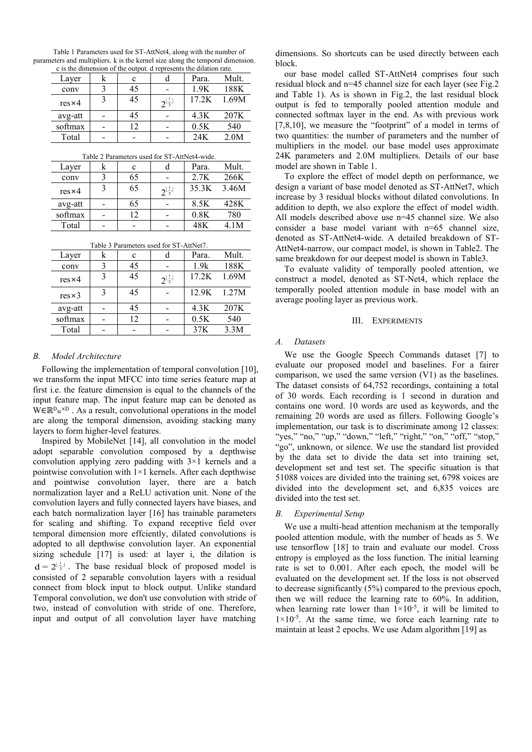| parameters and multipliers. k is the kernel size along the temporal dimension.<br>c is the dimension of the output. d represents the dilation rate. |  |    |                                   |             |       |
|-----------------------------------------------------------------------------------------------------------------------------------------------------|--|----|-----------------------------------|-------------|-------|
| Layer                                                                                                                                               |  |    |                                   | Para.       | Mult. |
| conv                                                                                                                                                |  | 45 |                                   | 1.9K        | 188K  |
| $res \times 4$                                                                                                                                      |  | 45 | $2^{\lfloor \frac{1}{3} \rfloor}$ | 17.2K 1.69M |       |
| avg-att                                                                                                                                             |  |    |                                   |             | 207K  |

Table 1 Parameters used for ST-AttNet4, along with the number of

Total | - | - | - | 24K 2.0M Table 2 Parameters used for ST-AttNet4-wide.

softmax - 12 - 0.5K 540

| $14010 \pm 141411101013$ used for $51$ -Attrice $7$ while. |  |    |                                   |       |       |  |
|------------------------------------------------------------|--|----|-----------------------------------|-------|-------|--|
| Layer                                                      |  | c  |                                   | Para. | Mult. |  |
| conv                                                       |  | 65 |                                   | 2.7K  | 266K  |  |
| $res \times 4$                                             |  | 65 | $2^{\lfloor \frac{i}{3} \rfloor}$ | 35.3K | 3.46M |  |
| avg-att                                                    |  | 65 |                                   | 8.5K  | 428K  |  |
| softmax                                                    |  | 12 |                                   | 0.8K  | 780   |  |
| Total                                                      |  |    |                                   | 48K   | 4.1M  |  |

| Table 3 Parameters used for ST-AttNet7. |   |    |                                   |       |             |
|-----------------------------------------|---|----|-----------------------------------|-------|-------------|
| Layer                                   | k | c  | d                                 | Para. | Mult.       |
| conv                                    | 3 | 45 |                                   | 1.9k  | 188K        |
| $res \times 4$                          | 3 | 45 | $2^{\lfloor \frac{i}{3} \rfloor}$ | 17.2K | 1.69M       |
| $res \times 3$                          | 3 | 45 |                                   |       | 12.9K 1.27M |
| avg-att                                 |   | 45 |                                   | 4.3K  | 207K        |
| softmax                                 |   | 12 |                                   | 0.5K  | 540         |
| Total                                   |   |    |                                   | 37K   | 3.3M        |

*B. Model Architecture*

Following the implementation of temporal convolution [10], we transform the input MFCC into time series feature map at first i.e. the feature dimension is equal to the channels of the input feature map. The input feature map can be denoted as W∈ℝ<sup>D</sup>u<sup>×D</sup>. As a result, convolutional operations in the model are along the temporal dimension, avoiding stacking many layers to form higher-level features.

Inspired by MobileNet [14], all convolution in the model adopt separable convolution composed by a depthwise convolution applying zero padding with 3×1 kernels and a pointwise convolution with  $1\times1$  kernels. After each depthwise and pointwise convolution layer, there are a batch normalization layer and a ReLU activation unit. None of the convolution layers and fully connected layers have biases, and each batch normalization layer [16] has trainable parameters for scaling and shifting. To expand receptive field over temporal dimension more effciently, dilated convolutions is adopted to all depthwise convolution layer. An exponential sizing schedule [17] is used: at layer i, the dilation is  $d = 2^{\lfloor \frac{i}{3} \rfloor}$ . The base residual block of proposed model is consisted of 2 separable convolution layers with a residual connect from block input to block output. Unlike standard Temporal convolution, we don't use convolution with stride of two, instead of convolution with stride of one. Therefore, input and output of all convolution layer have matching

dimensions. So shortcuts can be used directly between each block.

our base model called ST-AttNet4 comprises four such residual block and n=45 channel size for each layer (see Fig.2 and Table 1). As is shown in Fig.2, the last residual block output is fed to temporally pooled attention module and connected softmax layer in the end. As with previous work [7,8,10], we measure the "footprint" of a model in terms of two quantities: the number of parameters and the number of multipliers in the model. our base model uses approximate 24K parameters and 2.0M multipliers. Details of our base model are shown in Table 1.

To explore the effect of model depth on performance, we design a variant of base model denoted as ST-AttNet7, which increase by 3 residual blocks without dilated convolutions. In addition to depth, we also explore the effect of model width. All models described above use n=45 channel size. We also consider a base model variant with n=65 channel size, denoted as ST-AttNet4-wide. A detailed breakdown of ST-AttNet4-narrow, our compact model, is shown in Table2. The same breakdown for our deepest model is shown in Table3.

To evaluate validity of temporally pooled attention, we construct a model, denoted as ST-Net4, which replace the temporally pooled attention module in base model with an average pooling layer as previous work.

## III. EXPERIMENTS

#### *A. Datasets*

We use the Google Speech Commands dataset [7] to evaluate our proposed model and baselines. For a fairer comparison, we used the same version (V1) as the baselines. The dataset consists of 64,752 recordings, containing a total of 30 words. Each recording is 1 second in duration and contains one word. 10 words are used as keywords, and the remaining 20 words are used as fillers. Following Google's implementation, our task is to discriminate among 12 classes: "yes," "no," "up," "down," "left," "right," "on," "off," "stop," "go", unknown, or silence. We use the standard list provided by the data set to divide the data set into training set, development set and test set. The specific situation is that 51088 voices are divided into the training set, 6798 voices are divided into the development set, and 6,835 voices are divided into the test set.

## *B. Experimental Setup*

We use a multi-head attention mechanism at the temporally pooled attention module, with the number of heads as 5. We use tensorflow [18] to train and evaluate our model. Cross entropy is employed as the loss function. The initial learning rate is set to 0.001. After each epoch, the model will be evaluated on the development set. If the loss is not observed to decrease significantly (5%) compared to the previous epoch, then we will reduce the learning rate to 60%. In addition, when learning rate lower than  $1 \times 10^{-5}$ , it will be limited to  $1 \times 10^{-5}$ . At the same time, we force each learning rate to maintain at least 2 epochs. We use Adam algorithm [19] as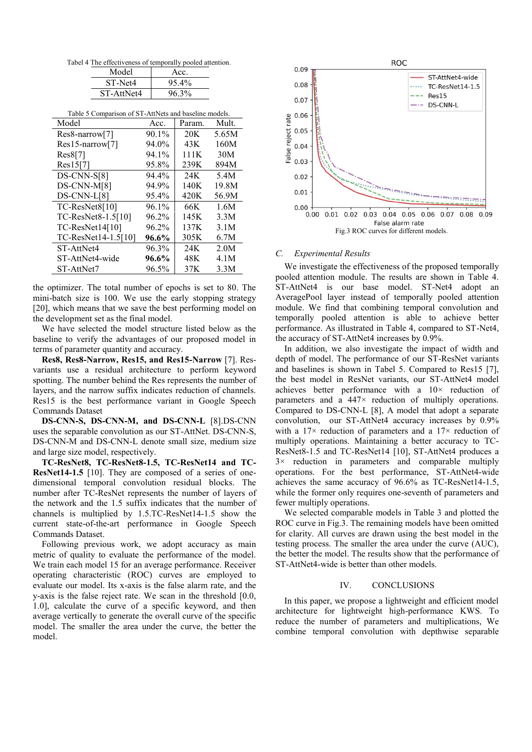Tabel 4 The effectiveness of temporally pooled attention.

| Model      | Acc.  |
|------------|-------|
| ST-Net4    | 95.4% |
| ST-AttNet4 | 96.3% |

| Table 5 Comparison of ST-AttNets and baseline models. |
|-------------------------------------------------------|
|-------------------------------------------------------|

| Model                    | Acc.  | Param.          | Mult. |
|--------------------------|-------|-----------------|-------|
| Res8-narrow[7]           | 90.1% | 20 <sub>K</sub> | 5.65M |
| $Res15$ -narrow[7]       | 94.0% | 43K             | 160M  |
| Res8[7]                  | 94.1% | 111K            | 30M   |
| Res15[7]                 | 95.8% | 239K            | 894M  |
| $DS-CNN-S[8]$            | 94.4% | 24K             | 5.4M  |
| DS-CNN-M[8]              | 94.9% | 140K            | 19.8M |
| DS-CNN-L[8]              | 95.4% | 420K            | 56.9M |
| TC-ResNet8[10]           | 96.1% | 66K             | 1.6M  |
| $TC$ -ResNet8-1.5 $[10]$ | 96.2% | 145K            | 3.3M  |
| $TC$ -ResNet $14[10]$    | 96.2% | 137K            | 3.1M  |
| TC-ResNet14-1.5[10]      | 96.6% | 305K            | 6.7M  |
| ST-AttNet4               | 96.3% | 24K             | 2.0M  |
| ST-AttNet4-wide          | 96.6% | 48K             | 4.1M  |
| ST-AttNet7               | 96.5% | 37K             | 3.3M  |

the optimizer. The total number of epochs is set to 80. The mini-batch size is 100. We use the early stopping strategy [20], which means that we save the best performing model on the development set as the final model.

We have selected the model structure listed below as the baseline to verify the advantages of our proposed model in terms of parameter quantity and accuracy.

**Res8, Res8-Narrow, Res15, and Res15-Narrow** [7]. Resvariants use a residual architecture to perform keyword spotting. The number behind the Res represents the number of layers, and the narrow suffix indicates reduction of channels. Res15 is the best performance variant in Google Speech Commands Dataset

**DS-CNN-S, DS-CNN-M, and DS-CNN-L** [8].DS-CNN uses the separable convolution as our ST-AttNet. DS-CNN-S, DS-CNN-M and DS-CNN-L denote small size, medium size and large size model, respectively.

**TC-ResNet8, TC-ResNet8-1.5, TC-ResNet14 and TC-ResNet14-1.5** [10]. They are composed of a series of onedimensional temporal convolution residual blocks. The number after TC-ResNet represents the number of layers of the network and the 1.5 suffix indicates that the number of channels is multiplied by 1.5.TC-ResNet14-1.5 show the current state-of-the-art performance in Google Speech Commands Dataset.

Following previous work, we adopt accuracy as main metric of quality to evaluate the performance of the model. We train each model 15 for an average performance. Receiver operating characteristic (ROC) curves are employed to evaluate our model. Its x-axis is the false alarm rate, and the y-axis is the false reject rate. We scan in the threshold [0.0, 1.0], calculate the curve of a specific keyword, and then average vertically to generate the overall curve of the specific model. The smaller the area under the curve, the better the model.



# *C. Experimental Results*

We investigate the effectiveness of the proposed temporally pooled attention module. The results are shown in Table 4. ST-AttNet4 is our base model. ST-Net4 adopt an AveragePool layer instead of temporally pooled attention module. We find that combining temporal convolution and temporally pooled attention is able to achieve better performance. As illustrated in Table 4, compared to ST-Net4, the accuracy of ST-AttNet4 increases by 0.9%.

In addition, we also investigate the impact of width and depth of model. The performance of our ST-ResNet variants and baselines is shown in Tabel 5. Compared to Res15 [7], the best model in ResNet variants, our ST-AttNet4 model achieves better performance with a 10× reduction of parameters and a 447× reduction of multiply operations. Compared to DS-CNN-L [8], A model that adopt a separate convolution, our ST-AttNet4 accuracy increases by 0.9% with a  $17\times$  reduction of parameters and a  $17\times$  reduction of multiply operations. Maintaining a better accuracy to TC-ResNet8-1.5 and TC-ResNet14 [10], ST-AttNet4 produces a 3× reduction in parameters and comparable multiply operations. For the best performance, ST-AttNet4-wide achieves the same accuracy of 96.6% as TC-ResNet14-1.5, while the former only requires one-seventh of parameters and fewer multiply operations.

We selected comparable models in Table 3 and plotted the ROC curve in Fig.3. The remaining models have been omitted for clarity. All curves are drawn using the best model in the testing process. The smaller the area under the curve (AUC), the better the model. The results show that the performance of ST-AttNet4-wide is better than other models.

# IV. CONCLUSIONS

In this paper, we propose a lightweight and efficient model architecture for lightweight high-performance KWS. To reduce the number of parameters and multiplications, We combine temporal convolution with depthwise separable